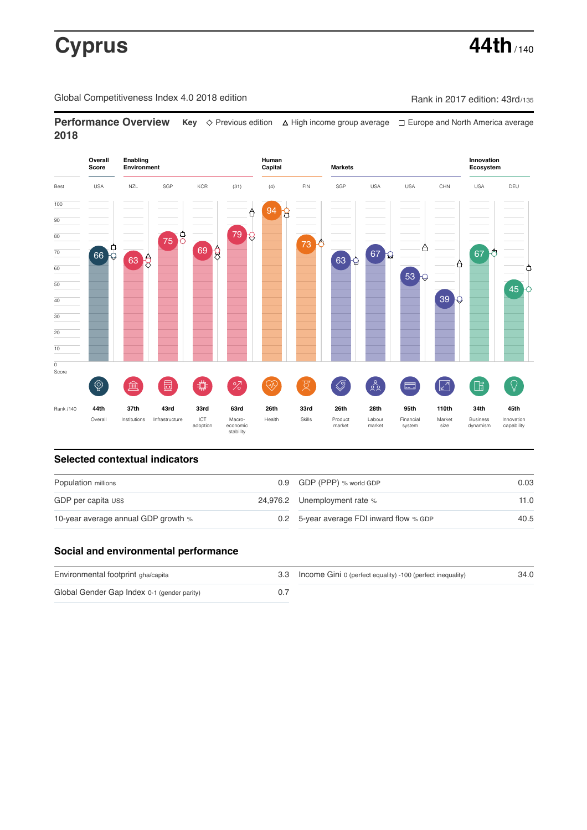# **Cyprus 44th**  $\frac{1}{140}$

Global Competitiveness Index 4.0 2018 edition Company Rank in 2017 edition: 43rd/135

**Performance Overview** Key  $\Diamond$  Previous edition ∆ High income group average  $\Box$  Europe and North America average **2018**



## **Selected contextual indicators**

| Population millions                 |  | 0.9 GDP (PPP) % world GDP                | 0.03 |  |
|-------------------------------------|--|------------------------------------------|------|--|
| GDP per capita US\$                 |  | 24,976.2 Unemployment rate %             | 11.0 |  |
| 10-year average annual GDP growth % |  | 0.2 5-year average FDI inward flow % GDP | 40.5 |  |

## **Social and environmental performance**

| Environmental footprint gha/capita          | 3.3 Income Gini 0 (perfect equality) -100 (perfect inequality) | 34.0 |
|---------------------------------------------|----------------------------------------------------------------|------|
| Global Gender Gap Index 0-1 (gender parity) |                                                                |      |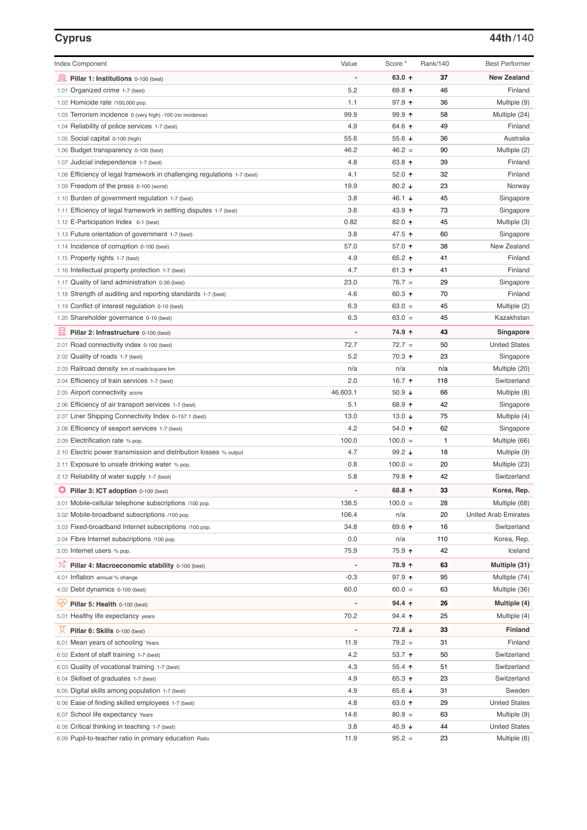## **Cyprus 44th**/140

| <b>Index Component</b>                                                   | Value    | Score *                  | Rank/140 | <b>Best Performer</b>       |
|--------------------------------------------------------------------------|----------|--------------------------|----------|-----------------------------|
| 寙<br>Pillar 1: Institutions 0-100 (best)                                 |          | 63.0 $\uparrow$          | 37       | <b>New Zealand</b>          |
| 1.01 Organized crime 1-7 (best)                                          | 5.2      | 69.8 ↑                   | 46       | Finland                     |
| 1.02 Homicide rate /100,000 pop.                                         | 1.1      | 97.9 ↑                   | 36       | Multiple (9)                |
| 1.03 Terrorism incidence 0 (very high) -100 (no incidence)               | 99.9     | $99.9$ 1                 | 58       | Multiple (24)               |
| 1.04 Reliability of police services 1-7 (best)                           | 4.9      | 64.6 ↑                   | 49       | Finland                     |
| 1.05 Social capital 0-100 (high)                                         | 55.6     | 55.6 $\sqrt{ }$          | 36       | Australia                   |
| 1.06 Budget transparency 0-100 (best)                                    | 46.2     | $46.2 =$                 | 90       | Multiple (2)                |
| 1.07 Judicial independence 1-7 (best)                                    | 4.8      | 63.8 ↑                   | 39       | Finland                     |
| 1.08 Efficiency of legal framework in challenging regulations 1-7 (best) | 4.1      | 52.0 ↑                   | 32       | Finland                     |
| 1.09 Freedom of the press 0-100 (worst)                                  | 19.9     | 80.2 $\sqrt{ }$          | 23       | Norway                      |
| 1.10 Burden of government regulation 1-7 (best)                          | 3.8      | 46.1 ↓                   | 45       | Singapore                   |
| 1.11 Efficiency of legal framework in settling disputes 1-7 (best)       | 3.6      | 43.9 ↑                   | 73       | Singapore                   |
| 1.12 E-Participation Index 0-1 (best)                                    | 0.82     | 82.0 ↑                   | 45       | Multiple (3)                |
| 1.13 Future orientation of government 1-7 (best)                         | 3.8      | 47.5 ↑                   | 60       | Singapore                   |
| 1.14 Incidence of corruption 0-100 (best)                                | 57.0     | 57.0 $\uparrow$          | 38       | New Zealand                 |
| 1.15 Property rights 1-7 (best)                                          | 4.9      | 65.2 ↑                   | 41       | Finland                     |
| 1.16 Intellectual property protection 1-7 (best)                         | 4.7      | 61.3 $\uparrow$          | 41       | Finland                     |
| 1.17 Quality of land administration 0-30 (best)                          | 23.0     | $76.7 =$                 | 29       | Singapore                   |
| 1.18 Strength of auditing and reporting standards 1-7 (best)             | 4.6      | 60.3 $\uparrow$          | 70       | Finland                     |
| 1.19 Conflict of interest regulation 0-10 (best)                         | 6.3      | $63.0 =$                 | 45       | Multiple (2)                |
| 1.20 Shareholder governance 0-10 (best)                                  | 6.3      | $63.0 =$                 | 45       | Kazakhstan                  |
| 員<br>Pillar 2: Infrastructure 0-100 (best)                               |          | 74.9 ↑                   | 43       | Singapore                   |
| 2.01 Road connectivity index 0-100 (best)                                | 72.7     | $72.7 =$                 | 50       | <b>United States</b>        |
| 2.02 Quality of roads 1-7 (best)                                         | 5.2      | 70.3 ↑                   | 23       | Singapore                   |
| 2.03 Railroad density km of roads/square km                              | n/a      | n/a                      | n/a      | Multiple (20)               |
| 2.04 Efficiency of train services 1-7 (best)                             | 2.0      | 16.7 ↑                   | 118      | Switzerland                 |
| 2.05 Airport connectivity score                                          | 46,603.1 | 50.9 $\sqrt{ }$          | 66       | Multiple (8)                |
| 2.06 Efficiency of air transport services 1-7 (best)                     | 5.1      | 68.9 ↑                   | 42       | Singapore                   |
| 2.07 Liner Shipping Connectivity Index 0-157.1 (best)                    | 13.0     | 13.0 $\sqrt{ }$          | 75       | Multiple (4)                |
| 2.08 Efficiency of seaport services 1-7 (best)                           | 4.2      | 54.0 ↑                   | 62       | Singapore                   |
| 2.09 Electrification rate % pop.                                         | 100.0    | $100.0 =$                | 1        | Multiple (66)               |
| 2.10 Electric power transmission and distribution losses % output        | 4.7      | 99.2 $\sqrt{ }$          | 18       | Multiple (9)                |
| 2.11 Exposure to unsafe drinking water % pop.                            | 0.8      | $100.0 =$                | 20       | Multiple (23)               |
| 2.12 Reliability of water supply 1-7 (best)                              | 5.8      | 79.8 个                   | 42       | Switzerland                 |
| O<br>Pillar 3: ICT adoption 0-100 (best)                                 |          | 68.8 ↑                   | 33       | Korea, Rep.                 |
| 3.01 Mobile-cellular telephone subscriptions /100 pop.                   | 138.5    | $100.0 =$                | 28       | Multiple (68)               |
| 3.02 Mobile-broadband subscriptions /100 pop.                            | 106.4    | n/a                      | 20       | <b>United Arab Emirates</b> |
| 3.03 Fixed-broadband Internet subscriptions /100 pop.                    | 34.8     | 69.6 ↑                   | 16       | Switzerland                 |
| 3.04 Fibre Internet subscriptions /100 pop.                              | 0.0      | n/a                      | 110      | Korea, Rep.                 |
| 3.05 Internet users % pop.                                               | 75.9     | 75.9 个                   | 42       | Iceland                     |
| ℅<br>Pillar 4: Macroeconomic stability 0-100 (best)                      |          | 78.9 ↑                   | 63       | Multiple (31)               |
| 4.01 Inflation annual % change                                           | $-0.3$   | 97.9 ↑                   | 95       | Multiple (74)               |
| 4.02 Debt dynamics 0-100 (best)                                          | 60.0     | $60.0 =$                 | 63       | Multiple (36)               |
| Qv<br>Pillar 5: Health 0-100 (best)                                      |          | $94.4 \text{ } \uparrow$ | 26       | Multiple (4)                |
| 5.01 Healthy life expectancy years                                       | 70.2     | $94.4$ 1                 | 25       | Multiple (4)                |
| 섯<br>Pillar 6: Skills 0-100 (best)                                       |          | $72.8 +$                 | 33       | Finland                     |
| 6.01 Mean years of schooling Years                                       | 11.9     | $79.2 =$                 | 31       | Finland                     |
| 6.02 Extent of staff training 1-7 (best)                                 | 4.2      | 53.7 $\uparrow$          | 50       | Switzerland                 |
| 6.03 Quality of vocational training 1-7 (best)                           | 4.3      | 55.4 $\uparrow$          | 51       | Switzerland                 |
| 6.04 Skillset of graduates 1-7 (best)                                    | 4.9      | 65.3 ↑                   | 23       | Switzerland                 |
| 6.05 Digital skills among population 1-7 (best)                          | 4.9      | 65.6 $\sqrt{ }$          | 31       | Sweden                      |
| 6.06 Ease of finding skilled employees 1-7 (best)                        | 4.8      | 63.0 个                   | 29       | <b>United States</b>        |
| 6.07 School life expectancy Years                                        | 14.6     | $80.9 =$                 | 63       | Multiple (9)                |
| 6.08 Critical thinking in teaching 1-7 (best)                            | 3.8      | 45.9 $\sqrt{ }$          | 44       | <b>United States</b>        |
| 6.09 Pupil-to-teacher ratio in primary education Ratio                   | 11.9     | $95.2 =$                 | 23       | Multiple (6)                |